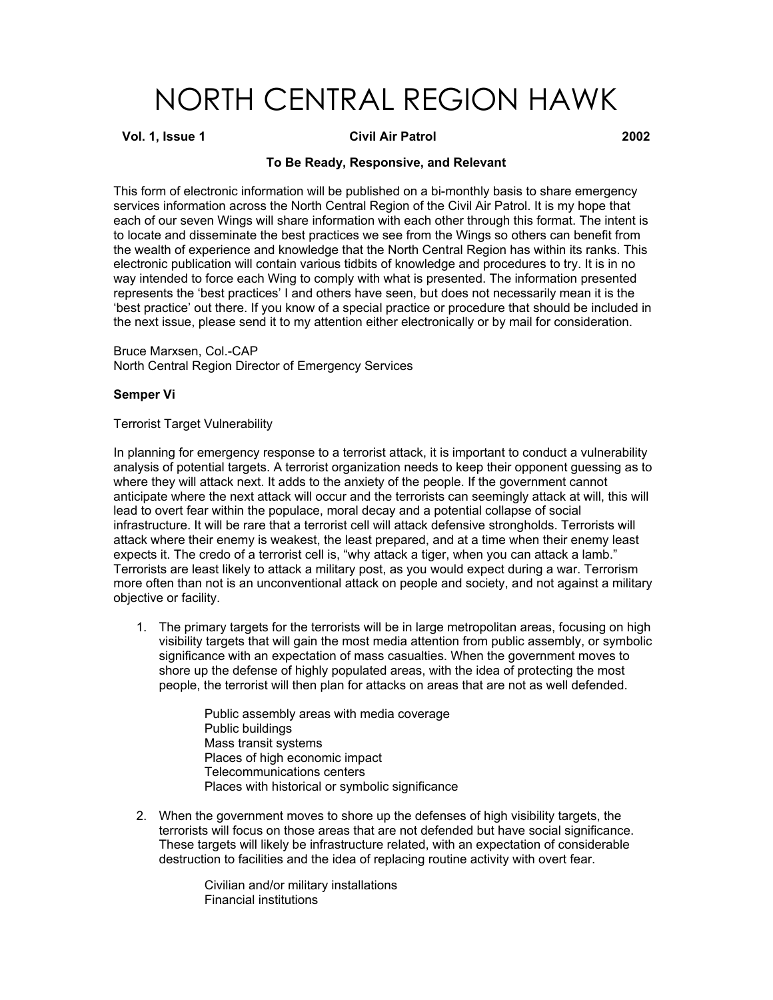# NORTH CENTRAL REGION HAWK

#### **Vol. 1, Issue 1 Civil Air Patrol 2002**

#### **To Be Ready, Responsive, and Relevant**

This form of electronic information will be published on a bi-monthly basis to share emergency services information across the North Central Region of the Civil Air Patrol. It is my hope that each of our seven Wings will share information with each other through this format. The intent is to locate and disseminate the best practices we see from the Wings so others can benefit from the wealth of experience and knowledge that the North Central Region has within its ranks. This electronic publication will contain various tidbits of knowledge and procedures to try. It is in no way intended to force each Wing to comply with what is presented. The information presented represents the 'best practices' I and others have seen, but does not necessarily mean it is the 'best practice' out there. If you know of a special practice or procedure that should be included in the next issue, please send it to my attention either electronically or by mail for consideration.

Bruce Marxsen, Col.-CAP North Central Region Director of Emergency Services

#### **Semper Vi**

Terrorist Target Vulnerability

In planning for emergency response to a terrorist attack, it is important to conduct a vulnerability analysis of potential targets. A terrorist organization needs to keep their opponent guessing as to where they will attack next. It adds to the anxiety of the people. If the government cannot anticipate where the next attack will occur and the terrorists can seemingly attack at will, this will lead to overt fear within the populace, moral decay and a potential collapse of social infrastructure. It will be rare that a terrorist cell will attack defensive strongholds. Terrorists will attack where their enemy is weakest, the least prepared, and at a time when their enemy least expects it. The credo of a terrorist cell is, "why attack a tiger, when you can attack a lamb." Terrorists are least likely to attack a military post, as you would expect during a war. Terrorism more often than not is an unconventional attack on people and society, and not against a military objective or facility.

1. The primary targets for the terrorists will be in large metropolitan areas, focusing on high visibility targets that will gain the most media attention from public assembly, or symbolic significance with an expectation of mass casualties. When the government moves to shore up the defense of highly populated areas, with the idea of protecting the most people, the terrorist will then plan for attacks on areas that are not as well defended.

> Public assembly areas with media coverage Public buildings Mass transit systems Places of high economic impact Telecommunications centers Places with historical or symbolic significance

2. When the government moves to shore up the defenses of high visibility targets, the terrorists will focus on those areas that are not defended but have social significance. These targets will likely be infrastructure related, with an expectation of considerable destruction to facilities and the idea of replacing routine activity with overt fear.

> Civilian and/or military installations Financial institutions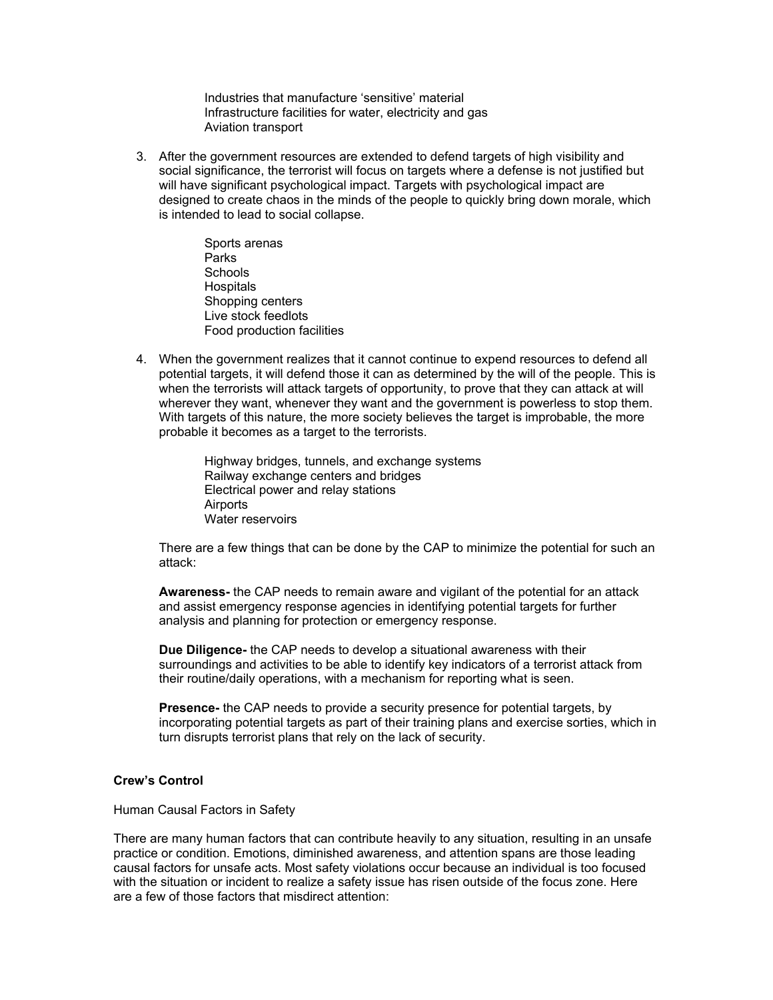Industries that manufacture 'sensitive' material Infrastructure facilities for water, electricity and gas Aviation transport

- 3. After the government resources are extended to defend targets of high visibility and social significance, the terrorist will focus on targets where a defense is not justified but will have significant psychological impact. Targets with psychological impact are designed to create chaos in the minds of the people to quickly bring down morale, which is intended to lead to social collapse.
	- Sports arenas Parks **Schools Hospitals** Shopping centers Live stock feedlots Food production facilities
- 4. When the government realizes that it cannot continue to expend resources to defend all potential targets, it will defend those it can as determined by the will of the people. This is when the terrorists will attack targets of opportunity, to prove that they can attack at will wherever they want, whenever they want and the government is powerless to stop them. With targets of this nature, the more society believes the target is improbable, the more probable it becomes as a target to the terrorists.
	- Highway bridges, tunnels, and exchange systems Railway exchange centers and bridges Electrical power and relay stations **Airports** Water reservoirs

There are a few things that can be done by the CAP to minimize the potential for such an attack:

**Awareness-** the CAP needs to remain aware and vigilant of the potential for an attack and assist emergency response agencies in identifying potential targets for further analysis and planning for protection or emergency response.

**Due Diligence-** the CAP needs to develop a situational awareness with their surroundings and activities to be able to identify key indicators of a terrorist attack from their routine/daily operations, with a mechanism for reporting what is seen.

**Presence-** the CAP needs to provide a security presence for potential targets, by incorporating potential targets as part of their training plans and exercise sorties, which in turn disrupts terrorist plans that rely on the lack of security.

## **Crew's Control**

Human Causal Factors in Safety

There are many human factors that can contribute heavily to any situation, resulting in an unsafe practice or condition. Emotions, diminished awareness, and attention spans are those leading causal factors for unsafe acts. Most safety violations occur because an individual is too focused with the situation or incident to realize a safety issue has risen outside of the focus zone. Here are a few of those factors that misdirect attention: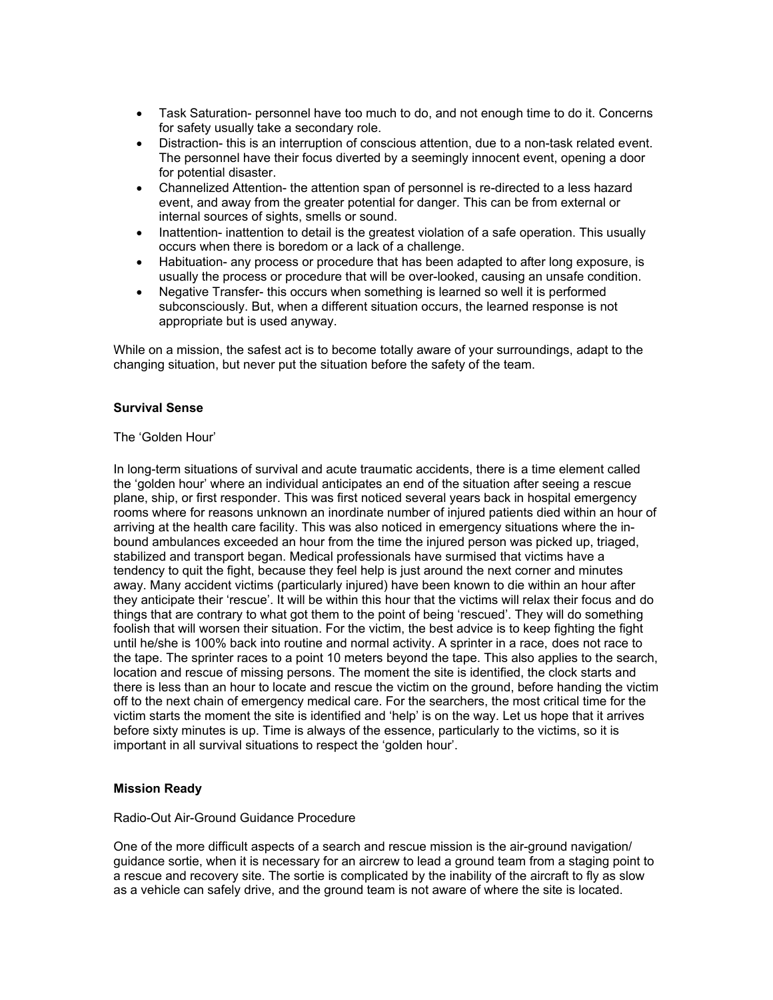- Task Saturation- personnel have too much to do, and not enough time to do it. Concerns for safety usually take a secondary role.
- Distraction- this is an interruption of conscious attention, due to a non-task related event. The personnel have their focus diverted by a seemingly innocent event, opening a door for potential disaster.
- Channelized Attention- the attention span of personnel is re-directed to a less hazard event, and away from the greater potential for danger. This can be from external or internal sources of sights, smells or sound.
- Inattention- inattention to detail is the greatest violation of a safe operation. This usually occurs when there is boredom or a lack of a challenge.
- Habituation- any process or procedure that has been adapted to after long exposure, is usually the process or procedure that will be over-looked, causing an unsafe condition.
- Negative Transfer- this occurs when something is learned so well it is performed subconsciously. But, when a different situation occurs, the learned response is not appropriate but is used anyway.

While on a mission, the safest act is to become totally aware of your surroundings, adapt to the changing situation, but never put the situation before the safety of the team.

## **Survival Sense**

## The 'Golden Hour'

In long-term situations of survival and acute traumatic accidents, there is a time element called the 'golden hour' where an individual anticipates an end of the situation after seeing a rescue plane, ship, or first responder. This was first noticed several years back in hospital emergency rooms where for reasons unknown an inordinate number of injured patients died within an hour of arriving at the health care facility. This was also noticed in emergency situations where the inbound ambulances exceeded an hour from the time the injured person was picked up, triaged, stabilized and transport began. Medical professionals have surmised that victims have a tendency to quit the fight, because they feel help is just around the next corner and minutes away. Many accident victims (particularly injured) have been known to die within an hour after they anticipate their 'rescue'. It will be within this hour that the victims will relax their focus and do things that are contrary to what got them to the point of being 'rescued'. They will do something foolish that will worsen their situation. For the victim, the best advice is to keep fighting the fight until he/she is 100% back into routine and normal activity. A sprinter in a race, does not race to the tape. The sprinter races to a point 10 meters beyond the tape. This also applies to the search, location and rescue of missing persons. The moment the site is identified, the clock starts and there is less than an hour to locate and rescue the victim on the ground, before handing the victim off to the next chain of emergency medical care. For the searchers, the most critical time for the victim starts the moment the site is identified and 'help' is on the way. Let us hope that it arrives before sixty minutes is up. Time is always of the essence, particularly to the victims, so it is important in all survival situations to respect the 'golden hour'.

## **Mission Ready**

## Radio-Out Air-Ground Guidance Procedure

One of the more difficult aspects of a search and rescue mission is the air-ground navigation/ guidance sortie, when it is necessary for an aircrew to lead a ground team from a staging point to a rescue and recovery site. The sortie is complicated by the inability of the aircraft to fly as slow as a vehicle can safely drive, and the ground team is not aware of where the site is located.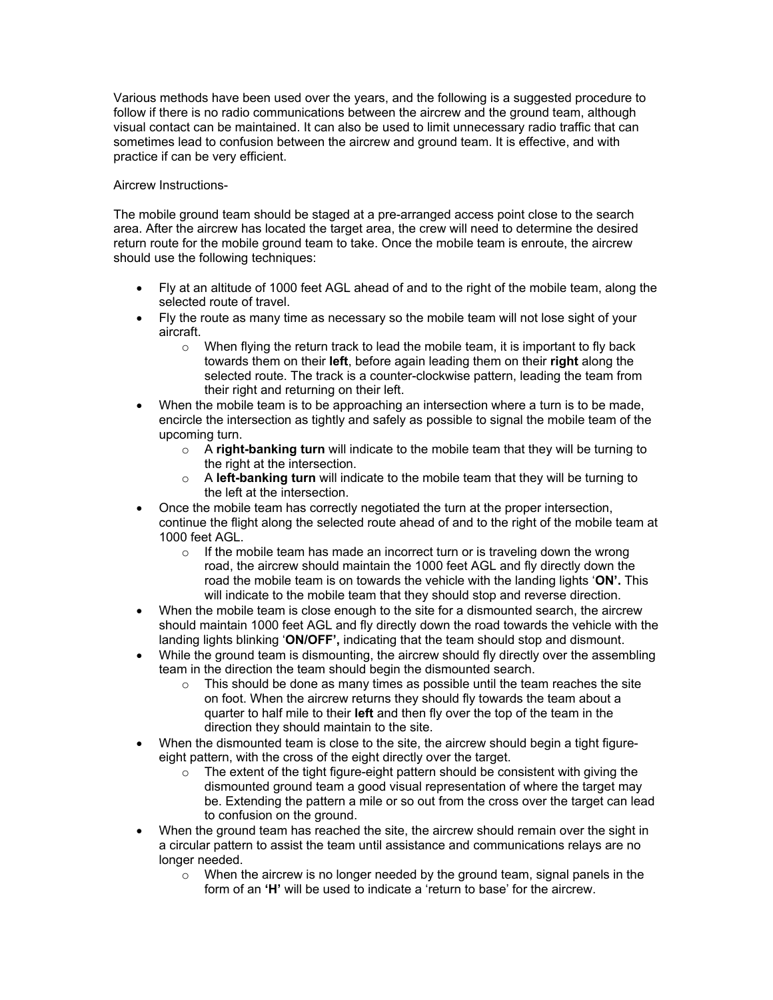Various methods have been used over the years, and the following is a suggested procedure to follow if there is no radio communications between the aircrew and the ground team, although visual contact can be maintained. It can also be used to limit unnecessary radio traffic that can sometimes lead to confusion between the aircrew and ground team. It is effective, and with practice if can be very efficient.

# Aircrew Instructions-

The mobile ground team should be staged at a pre-arranged access point close to the search area. After the aircrew has located the target area, the crew will need to determine the desired return route for the mobile ground team to take. Once the mobile team is enroute, the aircrew should use the following techniques:

- Fly at an altitude of 1000 feet AGL ahead of and to the right of the mobile team, along the selected route of travel.
- Fly the route as many time as necessary so the mobile team will not lose sight of your aircraft.
	- $\circ$  When flying the return track to lead the mobile team, it is important to fly back towards them on their **left**, before again leading them on their **right** along the selected route. The track is a counter-clockwise pattern, leading the team from their right and returning on their left.
- When the mobile team is to be approaching an intersection where a turn is to be made, encircle the intersection as tightly and safely as possible to signal the mobile team of the upcoming turn.
	- o A **right-banking turn** will indicate to the mobile team that they will be turning to the right at the intersection.
	- o A **left-banking turn** will indicate to the mobile team that they will be turning to the left at the intersection.
- Once the mobile team has correctly negotiated the turn at the proper intersection, continue the flight along the selected route ahead of and to the right of the mobile team at 1000 feet AGL.
	- $\circ$  If the mobile team has made an incorrect turn or is traveling down the wrong road, the aircrew should maintain the 1000 feet AGL and fly directly down the road the mobile team is on towards the vehicle with the landing lights '**ON'.** This will indicate to the mobile team that they should stop and reverse direction.
- When the mobile team is close enough to the site for a dismounted search, the aircrew should maintain 1000 feet AGL and fly directly down the road towards the vehicle with the landing lights blinking '**ON/OFF',** indicating that the team should stop and dismount.
- While the ground team is dismounting, the aircrew should fly directly over the assembling team in the direction the team should begin the dismounted search.
	- $\circ$  This should be done as many times as possible until the team reaches the site on foot. When the aircrew returns they should fly towards the team about a quarter to half mile to their **left** and then fly over the top of the team in the direction they should maintain to the site.
- When the dismounted team is close to the site, the aircrew should begin a tight figureeight pattern, with the cross of the eight directly over the target.
	- $\circ$  The extent of the tight figure-eight pattern should be consistent with giving the dismounted ground team a good visual representation of where the target may be. Extending the pattern a mile or so out from the cross over the target can lead to confusion on the ground.
- When the ground team has reached the site, the aircrew should remain over the sight in a circular pattern to assist the team until assistance and communications relays are no longer needed.
	- $\circ$  When the aircrew is no longer needed by the ground team, signal panels in the form of an **'H'** will be used to indicate a 'return to base' for the aircrew.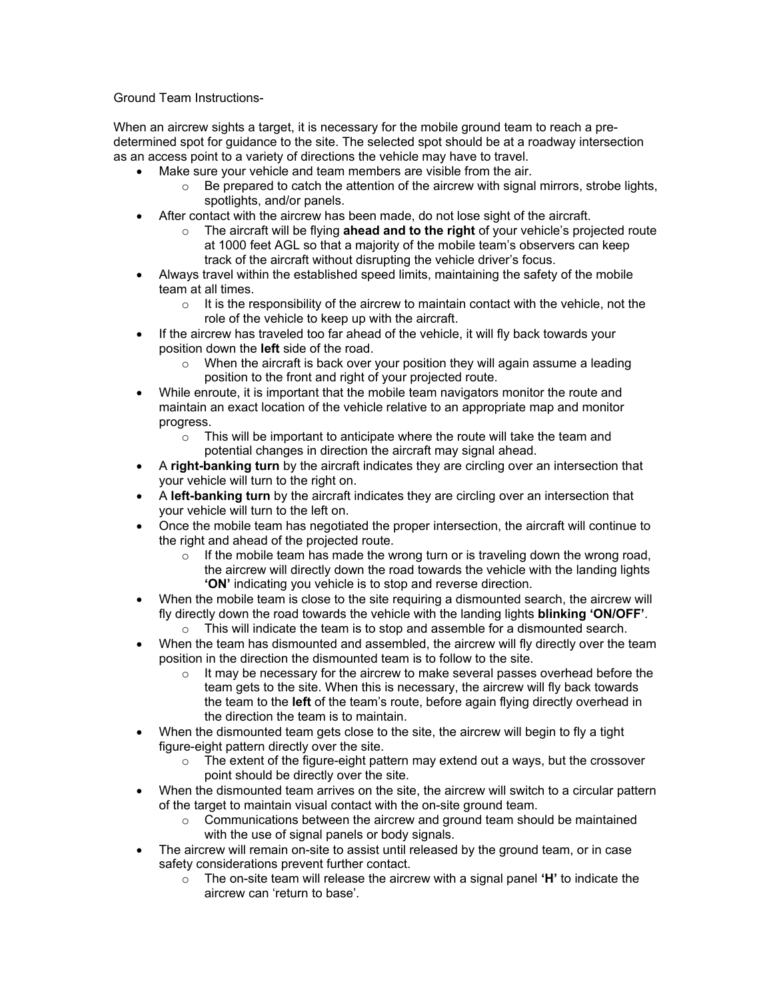Ground Team Instructions-

When an aircrew sights a target, it is necessary for the mobile ground team to reach a predetermined spot for guidance to the site. The selected spot should be at a roadway intersection as an access point to a variety of directions the vehicle may have to travel.

- Make sure your vehicle and team members are visible from the air.
	- $\circ$  Be prepared to catch the attention of the aircrew with signal mirrors, strobe lights, spotlights, and/or panels.
- After contact with the aircrew has been made, do not lose sight of the aircraft.
	- o The aircraft will be flying **ahead and to the right** of your vehicle's projected route at 1000 feet AGL so that a majority of the mobile team's observers can keep track of the aircraft without disrupting the vehicle driver's focus.
- Always travel within the established speed limits, maintaining the safety of the mobile team at all times.
	- $\circ$  It is the responsibility of the aircrew to maintain contact with the vehicle, not the role of the vehicle to keep up with the aircraft.
- If the aircrew has traveled too far ahead of the vehicle, it will fly back towards your position down the **left** side of the road.
	- $\circ$  When the aircraft is back over your position they will again assume a leading position to the front and right of your projected route.
- While enroute, it is important that the mobile team navigators monitor the route and maintain an exact location of the vehicle relative to an appropriate map and monitor progress.
	- $\circ$  This will be important to anticipate where the route will take the team and potential changes in direction the aircraft may signal ahead.
- A **right-banking turn** by the aircraft indicates they are circling over an intersection that your vehicle will turn to the right on.
- A **left-banking turn** by the aircraft indicates they are circling over an intersection that your vehicle will turn to the left on.
- Once the mobile team has negotiated the proper intersection, the aircraft will continue to the right and ahead of the projected route.
	- $\circ$  If the mobile team has made the wrong turn or is traveling down the wrong road, the aircrew will directly down the road towards the vehicle with the landing lights **'ON'** indicating you vehicle is to stop and reverse direction.
- When the mobile team is close to the site requiring a dismounted search, the aircrew will fly directly down the road towards the vehicle with the landing lights **blinking 'ON/OFF'**.
	- $\circ$  This will indicate the team is to stop and assemble for a dismounted search.
- When the team has dismounted and assembled, the aircrew will fly directly over the team position in the direction the dismounted team is to follow to the site.
	- $\circ$  It may be necessary for the aircrew to make several passes overhead before the team gets to the site. When this is necessary, the aircrew will fly back towards the team to the **left** of the team's route, before again flying directly overhead in the direction the team is to maintain.
- When the dismounted team gets close to the site, the aircrew will begin to fly a tight figure-eight pattern directly over the site.
	- $\circ$  The extent of the figure-eight pattern may extend out a ways, but the crossover point should be directly over the site.
- When the dismounted team arrives on the site, the aircrew will switch to a circular pattern of the target to maintain visual contact with the on-site ground team.
	- $\circ$  Communications between the aircrew and ground team should be maintained with the use of signal panels or body signals.
- The aircrew will remain on-site to assist until released by the ground team, or in case safety considerations prevent further contact.
	- o The on-site team will release the aircrew with a signal panel **'H'** to indicate the aircrew can 'return to base'.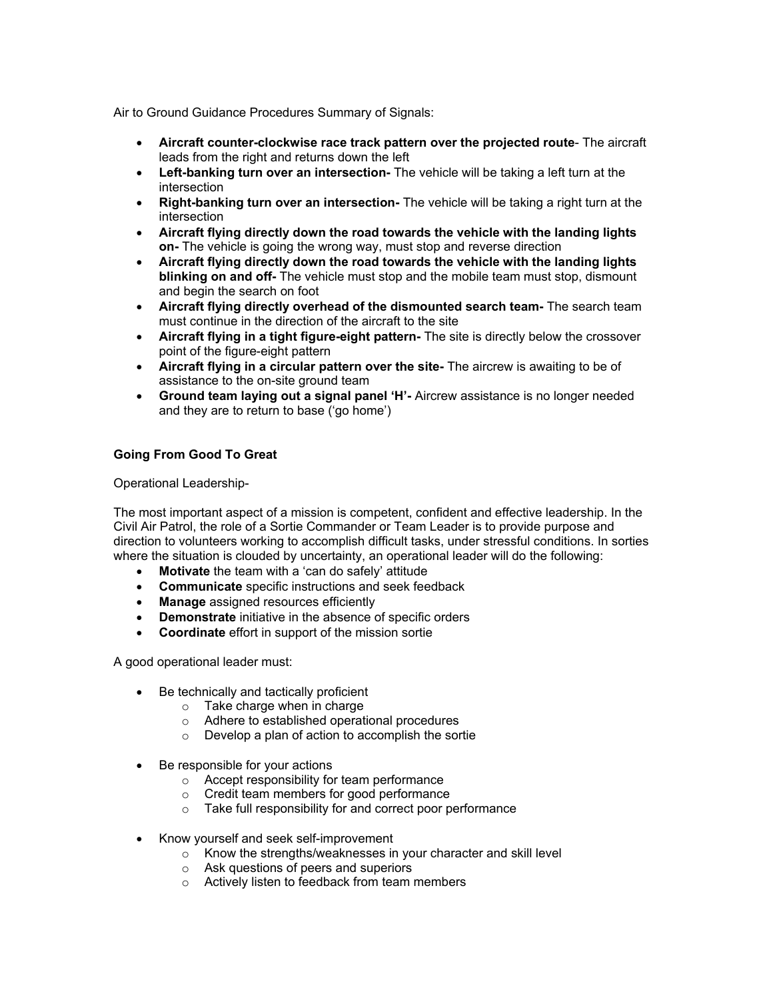Air to Ground Guidance Procedures Summary of Signals:

- **Aircraft counter-clockwise race track pattern over the projected route** The aircraft leads from the right and returns down the left
- **Left-banking turn over an intersection-** The vehicle will be taking a left turn at the intersection
- **Right-banking turn over an intersection-** The vehicle will be taking a right turn at the intersection
- **Aircraft flying directly down the road towards the vehicle with the landing lights on-** The vehicle is going the wrong way, must stop and reverse direction
- **Aircraft flying directly down the road towards the vehicle with the landing lights blinking on and off-** The vehicle must stop and the mobile team must stop, dismount and begin the search on foot
- **Aircraft flying directly overhead of the dismounted search team-** The search team must continue in the direction of the aircraft to the site
- **Aircraft flying in a tight figure-eight pattern-** The site is directly below the crossover point of the figure-eight pattern
- **Aircraft flying in a circular pattern over the site-** The aircrew is awaiting to be of assistance to the on-site ground team
- **Ground team laying out a signal panel 'H'-** Aircrew assistance is no longer needed and they are to return to base ('go home')

# **Going From Good To Great**

Operational Leadership-

The most important aspect of a mission is competent, confident and effective leadership. In the Civil Air Patrol, the role of a Sortie Commander or Team Leader is to provide purpose and direction to volunteers working to accomplish difficult tasks, under stressful conditions. In sorties where the situation is clouded by uncertainty, an operational leader will do the following:

- **Motivate** the team with a 'can do safely' attitude
- **Communicate** specific instructions and seek feedback
- **Manage** assigned resources efficiently
- **Demonstrate** initiative in the absence of specific orders
- **Coordinate** effort in support of the mission sortie

A good operational leader must:

- Be technically and tactically proficient
	- o Take charge when in charge
	- o Adhere to established operational procedures
	- o Develop a plan of action to accomplish the sortie
- Be responsible for your actions
	- o Accept responsibility for team performance
	- o Credit team members for good performance
	- o Take full responsibility for and correct poor performance
- Know yourself and seek self-improvement
	- o Know the strengths/weaknesses in your character and skill level
	- o Ask questions of peers and superiors
	- o Actively listen to feedback from team members